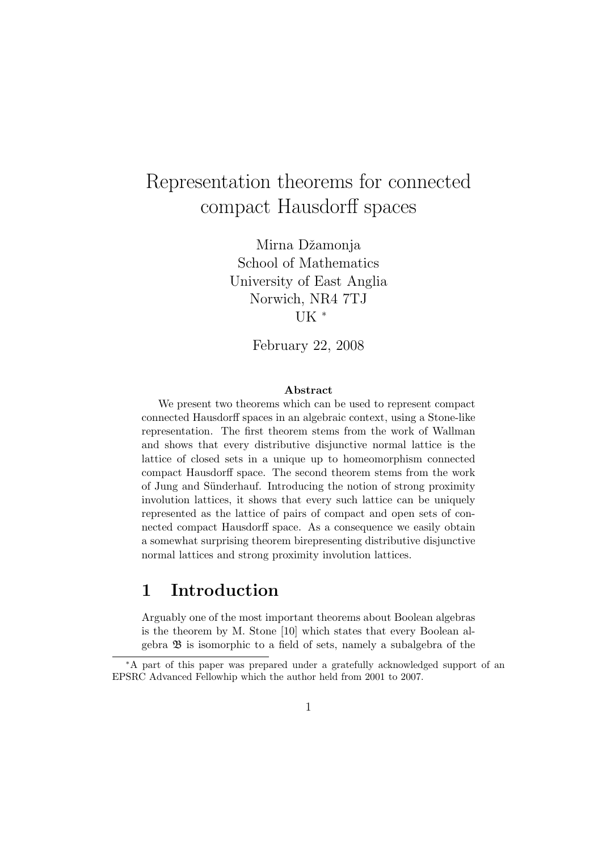# Representation theorems for connected compact Hausdorff spaces

Mirna Džamonja School of Mathematics University of East Anglia Norwich, NR4 7TJ UK <sup>∗</sup>

February 22, 2008

### Abstract

We present two theorems which can be used to represent compact connected Hausdorff spaces in an algebraic context, using a Stone-like representation. The first theorem stems from the work of Wallman and shows that every distributive disjunctive normal lattice is the lattice of closed sets in a unique up to homeomorphism connected compact Hausdorff space. The second theorem stems from the work of Jung and Sünderhauf. Introducing the notion of strong proximity involution lattices, it shows that every such lattice can be uniquely represented as the lattice of pairs of compact and open sets of connected compact Hausdorff space. As a consequence we easily obtain a somewhat surprising theorem birepresenting distributive disjunctive normal lattices and strong proximity involution lattices.

# 1 Introduction

Arguably one of the most important theorems about Boolean algebras is the theorem by M. Stone [10] which states that every Boolean algebra B is isomorphic to a field of sets, namely a subalgebra of the

<sup>∗</sup>A part of this paper was prepared under a gratefully acknowledged support of an EPSRC Advanced Fellowhip which the author held from 2001 to 2007.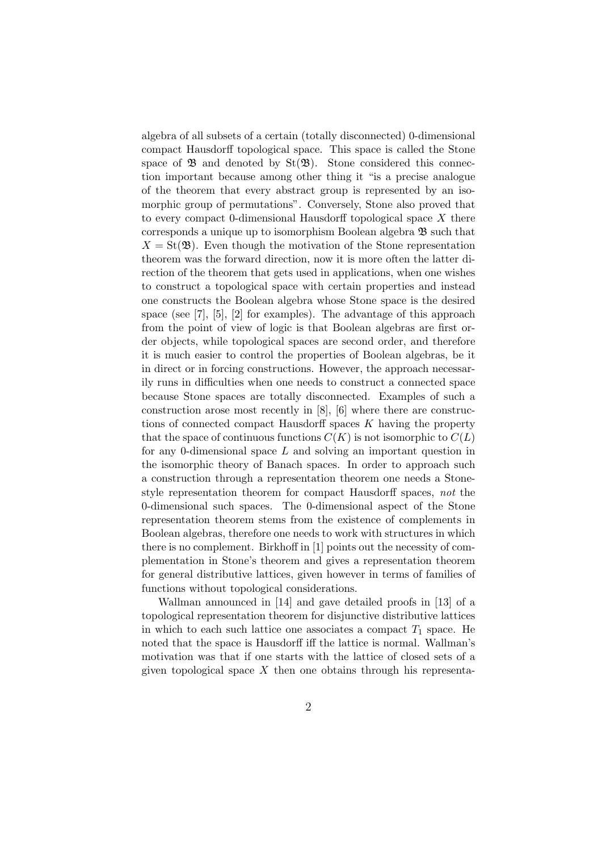algebra of all subsets of a certain (totally disconnected) 0-dimensional compact Hausdorff topological space. This space is called the Stone space of  $\mathfrak{B}$  and denoted by St $(\mathfrak{B})$ . Stone considered this connection important because among other thing it "is a precise analogue of the theorem that every abstract group is represented by an isomorphic group of permutations". Conversely, Stone also proved that to every compact 0-dimensional Hausdorff topological space X there corresponds a unique up to isomorphism Boolean algebra  $\mathfrak{B}$  such that  $X = St(\mathfrak{B})$ . Even though the motivation of the Stone representation theorem was the forward direction, now it is more often the latter direction of the theorem that gets used in applications, when one wishes to construct a topological space with certain properties and instead one constructs the Boolean algebra whose Stone space is the desired space (see [7], [5], [2] for examples). The advantage of this approach from the point of view of logic is that Boolean algebras are first order objects, while topological spaces are second order, and therefore it is much easier to control the properties of Boolean algebras, be it in direct or in forcing constructions. However, the approach necessarily runs in difficulties when one needs to construct a connected space because Stone spaces are totally disconnected. Examples of such a construction arose most recently in [8], [6] where there are constructions of connected compact Hausdorff spaces  $K$  having the property that the space of continuous functions  $C(K)$  is not isomorphic to  $C(L)$ for any 0-dimensional space L and solving an important question in the isomorphic theory of Banach spaces. In order to approach such a construction through a representation theorem one needs a Stonestyle representation theorem for compact Hausdorff spaces, not the 0-dimensional such spaces. The 0-dimensional aspect of the Stone representation theorem stems from the existence of complements in Boolean algebras, therefore one needs to work with structures in which there is no complement. Birkhoff in [1] points out the necessity of complementation in Stone's theorem and gives a representation theorem for general distributive lattices, given however in terms of families of functions without topological considerations.

Wallman announced in [14] and gave detailed proofs in [13] of a topological representation theorem for disjunctive distributive lattices in which to each such lattice one associates a compact  $T_1$  space. He noted that the space is Hausdorff iff the lattice is normal. Wallman's motivation was that if one starts with the lattice of closed sets of a given topological space  $X$  then one obtains through his representa-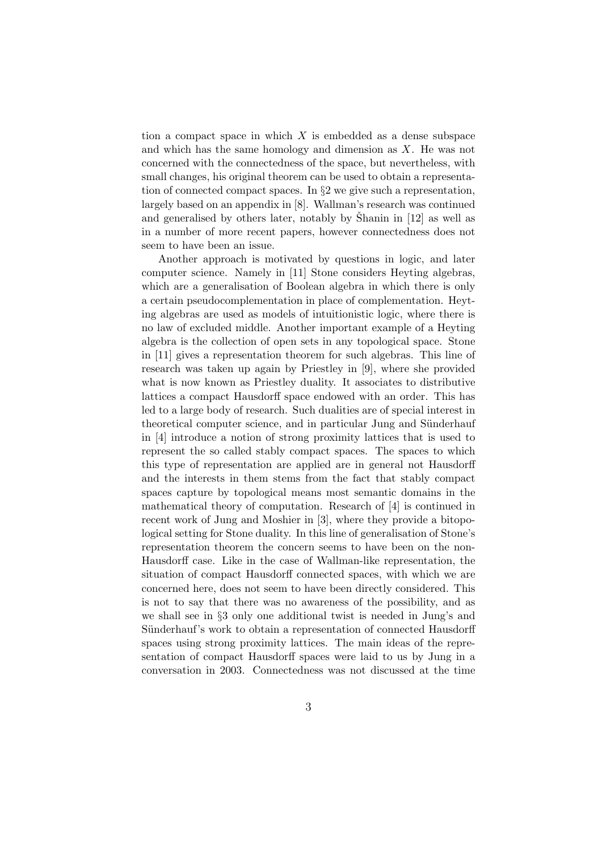tion a compact space in which  $X$  is embedded as a dense subspace and which has the same homology and dimension as X. He was not concerned with the connectedness of the space, but nevertheless, with small changes, his original theorem can be used to obtain a representation of connected compact spaces. In §2 we give such a representation, largely based on an appendix in [8]. Wallman's research was continued and generalised by others later, notably by Shanin in  $[12]$  as well as in a number of more recent papers, however connectedness does not seem to have been an issue.

Another approach is motivated by questions in logic, and later computer science. Namely in [11] Stone considers Heyting algebras, which are a generalisation of Boolean algebra in which there is only a certain pseudocomplementation in place of complementation. Heyting algebras are used as models of intuitionistic logic, where there is no law of excluded middle. Another important example of a Heyting algebra is the collection of open sets in any topological space. Stone in [11] gives a representation theorem for such algebras. This line of research was taken up again by Priestley in [9], where she provided what is now known as Priestley duality. It associates to distributive lattices a compact Hausdorff space endowed with an order. This has led to a large body of research. Such dualities are of special interest in theoretical computer science, and in particular Jung and Sünderhauf in [4] introduce a notion of strong proximity lattices that is used to represent the so called stably compact spaces. The spaces to which this type of representation are applied are in general not Hausdorff and the interests in them stems from the fact that stably compact spaces capture by topological means most semantic domains in the mathematical theory of computation. Research of [4] is continued in recent work of Jung and Moshier in [3], where they provide a bitopological setting for Stone duality. In this line of generalisation of Stone's representation theorem the concern seems to have been on the non-Hausdorff case. Like in the case of Wallman-like representation, the situation of compact Hausdorff connected spaces, with which we are concerned here, does not seem to have been directly considered. This is not to say that there was no awareness of the possibility, and as we shall see in §3 only one additional twist is needed in Jung's and Sünderhauf's work to obtain a representation of connected Hausdorff spaces using strong proximity lattices. The main ideas of the representation of compact Hausdorff spaces were laid to us by Jung in a conversation in 2003. Connectedness was not discussed at the time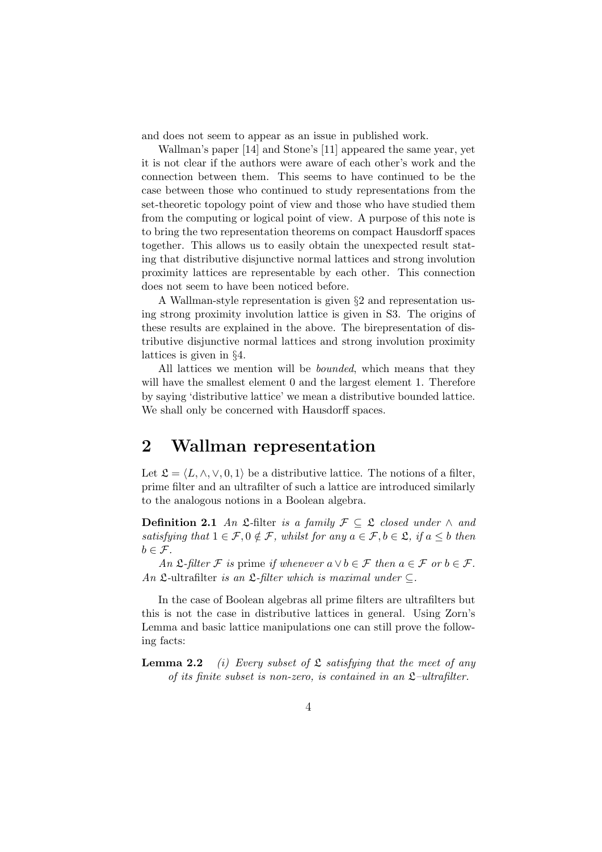and does not seem to appear as an issue in published work.

Wallman's paper [14] and Stone's [11] appeared the same year, yet it is not clear if the authors were aware of each other's work and the connection between them. This seems to have continued to be the case between those who continued to study representations from the set-theoretic topology point of view and those who have studied them from the computing or logical point of view. A purpose of this note is to bring the two representation theorems on compact Hausdorff spaces together. This allows us to easily obtain the unexpected result stating that distributive disjunctive normal lattices and strong involution proximity lattices are representable by each other. This connection does not seem to have been noticed before.

A Wallman-style representation is given §2 and representation using strong proximity involution lattice is given in S3. The origins of these results are explained in the above. The birepresentation of distributive disjunctive normal lattices and strong involution proximity lattices is given in §4.

All lattices we mention will be *bounded*, which means that they will have the smallest element 0 and the largest element 1. Therefore by saying 'distributive lattice' we mean a distributive bounded lattice. We shall only be concerned with Hausdorff spaces.

# 2 Wallman representation

Let  $\mathcal{L} = \langle L, \wedge, \vee, 0, 1 \rangle$  be a distributive lattice. The notions of a filter, prime filter and an ultrafilter of such a lattice are introduced similarly to the analogous notions in a Boolean algebra.

**Definition 2.1** An  $\mathfrak{L}\text{-filter}$  is a family  $\mathcal{F} \subseteq \mathfrak{L}$  closed under  $\wedge$  and satisfying that  $1 \in \mathcal{F}, 0 \notin \mathcal{F}$ , whilst for any  $a \in \mathcal{F}, b \in \mathcal{L}$ , if  $a \leq b$  then  $b \in \mathcal{F}$ .

An  $\mathfrak{L}\text{-}filter \mathcal{F}$  is prime if whenever  $a \vee b \in \mathcal{F}$  then  $a \in \mathcal{F}$  or  $b \in \mathcal{F}$ . An  $\mathfrak{L}\text{-ultrafilter}$  is an  $\mathfrak{L}\text{-filter}$  which is maximal under  $\subseteq$ .

In the case of Boolean algebras all prime filters are ultrafilters but this is not the case in distributive lattices in general. Using Zorn's Lemma and basic lattice manipulations one can still prove the following facts:

**Lemma 2.2** (i) Every subset of  $\mathfrak{L}$  satisfying that the meet of any of its finite subset is non-zero, is contained in an  $\mathfrak{L}-ultrafilter$ .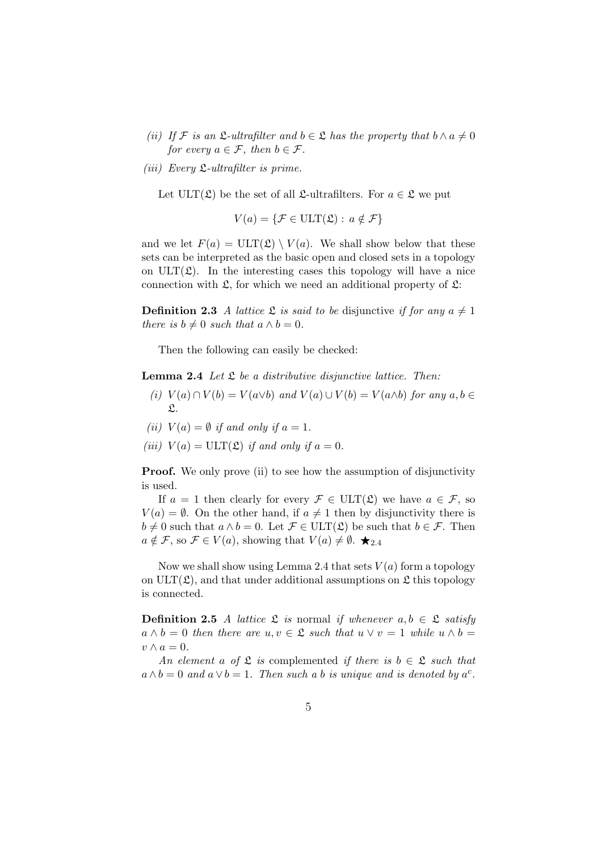- (ii) If F is an  $\mathfrak{L}\text{-}ultrafilter$  and  $b \in \mathfrak{L}$  has the property that  $b \wedge a \neq 0$ for every  $a \in \mathcal{F}$ , then  $b \in \mathcal{F}$ .
- (*iii*) Every  $\mathfrak{L}\text{-}ultrafilter$  is prime.

Let  $ULT(\mathfrak{L})$  be the set of all  $\mathfrak{L}\text{-ultrafilters.}$  For  $a \in \mathfrak{L}$  we put

$$
V(a) = \{ \mathcal{F} \in \text{ULT}(\mathfrak{L}) : a \notin \mathcal{F} \}
$$

and we let  $F(a) = \text{ULT}(\mathfrak{L}) \setminus V(a)$ . We shall show below that these sets can be interpreted as the basic open and closed sets in a topology on  $ULT(\mathfrak{L})$ . In the interesting cases this topology will have a nice connection with  $\mathfrak{L}$ , for which we need an additional property of  $\mathfrak{L}$ :

**Definition 2.3** A lattice  $\mathfrak{L}$  is said to be disjunctive if for any  $a \neq 1$ there is  $b \neq 0$  such that  $a \wedge b = 0$ .

Then the following can easily be checked:

**Lemma 2.4** Let  $\mathfrak L$  be a distributive disjunctive lattice. Then:

- (i)  $V(a) \cap V(b) = V(a \lor b)$  and  $V(a) \cup V(b) = V(a \land b)$  for any  $a, b \in$  $\mathfrak{L}.$
- (ii)  $V(a) = \emptyset$  if and only if  $a = 1$ .
- (iii)  $V(a) = \text{ULT}(\mathfrak{L})$  if and only if  $a = 0$ .

**Proof.** We only prove (ii) to see how the assumption of disjunctivity is used.

If  $a = 1$  then clearly for every  $\mathcal{F} \in \text{ULT}(\mathfrak{L})$  we have  $a \in \mathcal{F}$ , so  $V(a) = \emptyset$ . On the other hand, if  $a \neq 1$  then by disjunctivity there is  $b \neq 0$  such that  $a \wedge b = 0$ . Let  $\mathcal{F} \in \text{ULT}(\mathfrak{L})$  be such that  $b \in \mathcal{F}$ . Then  $a \notin \mathcal{F}$ , so  $\mathcal{F} \in V(a)$ , showing that  $V(a) \neq \emptyset$ .  $\bigstar_{2.4}$ 

Now we shall show using Lemma 2.4 that sets  $V(a)$  form a topology on  $ULT(\mathfrak{L})$ , and that under additional assumptions on  $\mathfrak{L}$  this topology is connected.

**Definition 2.5** A lattice  $\mathcal{L}$  is normal if whenever  $a, b \in \mathcal{L}$  satisfy  $a \wedge b = 0$  then there are  $u, v \in \mathfrak{L}$  such that  $u \vee v = 1$  while  $u \wedge b = 0$  $v \wedge a = 0.$ 

An element a of  $\mathfrak L$  is complemented if there is  $b \in \mathfrak L$  such that  $a \wedge b = 0$  and  $a \vee b = 1$ . Then such a b is unique and is denoted by  $a^c$ .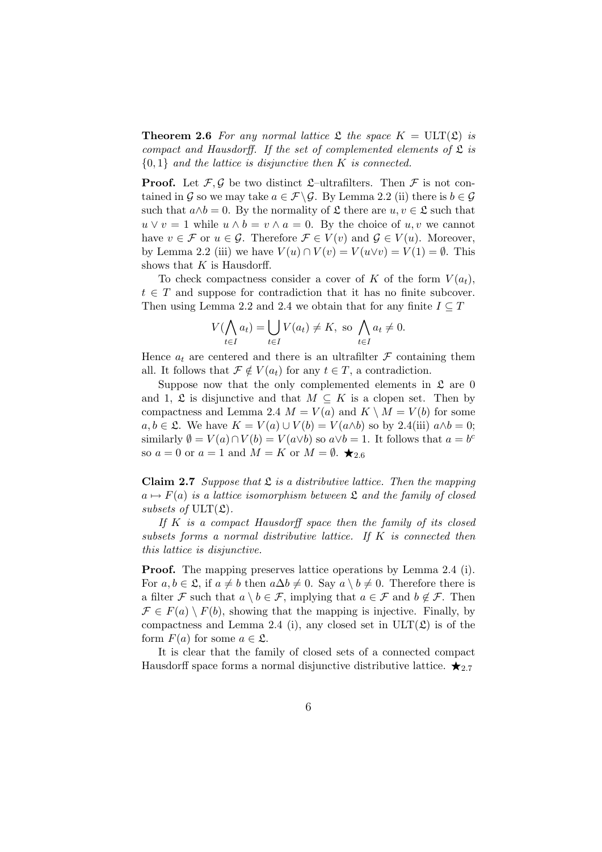**Theorem 2.6** For any normal lattice  $\mathfrak L$  the space  $K = \text{ULT}(\mathfrak L)$  is compact and Hausdorff. If the set of complemented elements of  $\mathfrak L$  is  ${0,1}$  and the lattice is disjunctive then K is connected.

**Proof.** Let  $\mathcal{F}, \mathcal{G}$  be two distinct  $\mathcal{L}$ –ultrafilters. Then  $\mathcal{F}$  is not contained in G so we may take  $a \in \mathcal{F} \backslash \mathcal{G}$ . By Lemma 2.2 (ii) there is  $b \in \mathcal{G}$ such that  $a \wedge b = 0$ . By the normality of  $\mathfrak L$  there are  $u, v \in \mathfrak L$  such that  $u \vee v = 1$  while  $u \wedge b = v \wedge a = 0$ . By the choice of  $u, v$  we cannot have  $v \in \mathcal{F}$  or  $u \in \mathcal{G}$ . Therefore  $\mathcal{F} \in V(v)$  and  $\mathcal{G} \in V(u)$ . Moreover, by Lemma 2.2 (iii) we have  $V(u) \cap V(v) = V(u \lor v) = V(1) = \emptyset$ . This shows that  $K$  is Hausdorff.

To check compactness consider a cover of K of the form  $V(a_t)$ ,  $t \in T$  and suppose for contradiction that it has no finite subcover. Then using Lemma 2.2 and 2.4 we obtain that for any finite  $I \subseteq T$ 

$$
V(\bigwedge_{t \in I} a_t) = \bigcup_{t \in I} V(a_t) \neq K, \text{ so } \bigwedge_{t \in I} a_t \neq 0.
$$

Hence  $a_t$  are centered and there is an ultrafilter  $\mathcal F$  containing them all. It follows that  $\mathcal{F} \notin V(a_t)$  for any  $t \in T$ , a contradiction.

Suppose now that the only complemented elements in  $\mathfrak{L}$  are 0 and 1,  $\mathfrak L$  is disjunctive and that  $M \subseteq K$  is a clopen set. Then by compactness and Lemma 2.4  $M = V(a)$  and  $K \setminus M = V(b)$  for some  $a, b \in \mathfrak{L}$ . We have  $K = V(a) \cup V(b) = V(a \wedge b)$  so by 2.4(iii)  $a \wedge b = 0$ ; similarly  $\emptyset = V(a) \cap V(b) = V(a \lor b)$  so  $a \lor b = 1$ . It follows that  $a = b^c$ so  $a = 0$  or  $a = 1$  and  $M = K$  or  $M = \emptyset$ .

**Claim 2.7** Suppose that  $\mathfrak{L}$  is a distributive lattice. Then the mapping  $a \mapsto F(a)$  is a lattice isomorphism between  $\mathfrak L$  and the family of closed subsets of  $ULT(\mathfrak{L})$ .

If  $K$  is a compact Hausdorff space then the family of its closed subsets forms a normal distributive lattice. If  $K$  is connected then this lattice is disjunctive.

Proof. The mapping preserves lattice operations by Lemma 2.4 (i). For  $a, b \in \mathfrak{L}$ , if  $a \neq b$  then  $a\Delta b \neq 0$ . Say  $a \setminus b \neq 0$ . Therefore there is a filter F such that  $a \setminus b \in \mathcal{F}$ , implying that  $a \in \mathcal{F}$  and  $b \notin \mathcal{F}$ . Then  $\mathcal{F} \in F(a) \setminus F(b)$ , showing that the mapping is injective. Finally, by compactness and Lemma 2.4 (i), any closed set in  $ULT(\mathfrak{L})$  is of the form  $F(a)$  for some  $a \in \mathfrak{L}$ .

It is clear that the family of closed sets of a connected compact Hausdorff space forms a normal disjunctive distributive lattice.  $\star_{2.7}$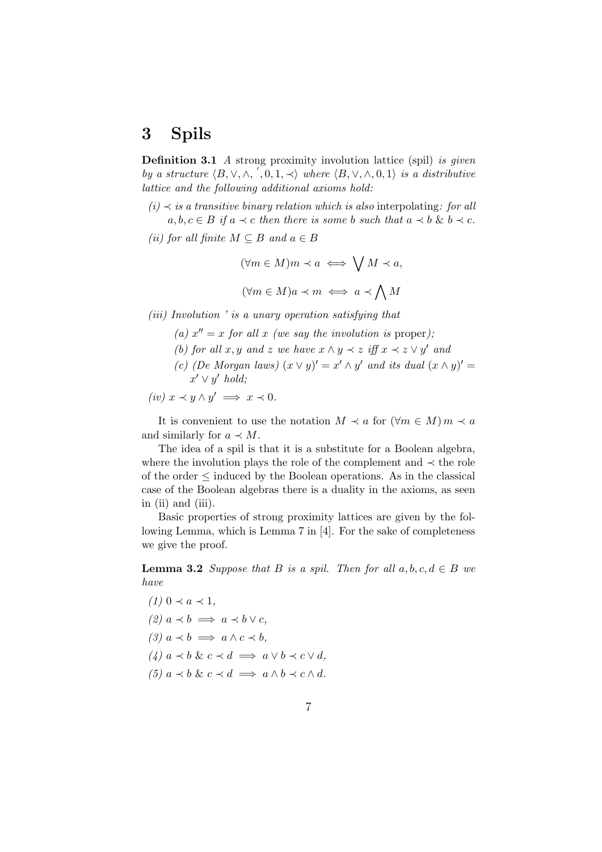# 3 Spils

**Definition 3.1** A strong proximity involution lattice (spil) is given by a structure  $\langle B, \vee, \wedge, ', 0, 1, \prec \rangle$  where  $\langle B, \vee, \wedge, 0, 1 \rangle$  is a distributive lattice and the following additional axioms hold:

- $(i)$   $\prec$  is a transitive binary relation which is also interpolating: for all  $a, b, c \in B$  if  $a \prec c$  then there is some b such that  $a \prec b \& b \prec c$ .
- (ii) for all finite  $M \subseteq B$  and  $a \in B$

$$
(\forall m \in M)m \prec a \iff \bigvee M \prec a,
$$
  

$$
(\forall m \in M)a \prec m \iff a \prec \bigwedge M
$$

(iii) Involution ' is a unary operation satisfying that

- (a)  $x'' = x$  for all x (we say the involution is proper);
- (b) for all x, y and z we have  $x \wedge y \prec z$  iff  $x \prec z \vee y'$  and
- (c) (De Morgan laws)  $(x \vee y)' = x' \wedge y'$  and its dual  $(x \wedge y)' =$  $x' \vee y'$  hold;

$$
(iv) x \prec y \wedge y' \implies x \prec 0.
$$

It is convenient to use the notation  $M \prec a$  for  $(\forall m \in M)$   $m \prec a$ and similarly for  $a \prec M$ .

The idea of a spil is that it is a substitute for a Boolean algebra, where the involution plays the role of the complement and  $\prec$  the role of the order ≤ induced by the Boolean operations. As in the classical case of the Boolean algebras there is a duality in the axioms, as seen in (ii) and (iii).

Basic properties of strong proximity lattices are given by the following Lemma, which is Lemma 7 in [4]. For the sake of completeness we give the proof.

**Lemma 3.2** Suppose that B is a spil. Then for all  $a, b, c, d \in B$  we have

- $(1)$  0  $\prec a \prec 1$ ,
- $(2) a \prec b \implies a \prec b \vee c$
- (3)  $a \prec b \implies a \land c \prec b$ ,
- $(4)$   $a \prec b$  &  $c \prec d \implies a \lor b \prec c \lor d$ ,
- (5)  $a \prec b \& c \prec d \implies a \wedge b \prec c \wedge d$ .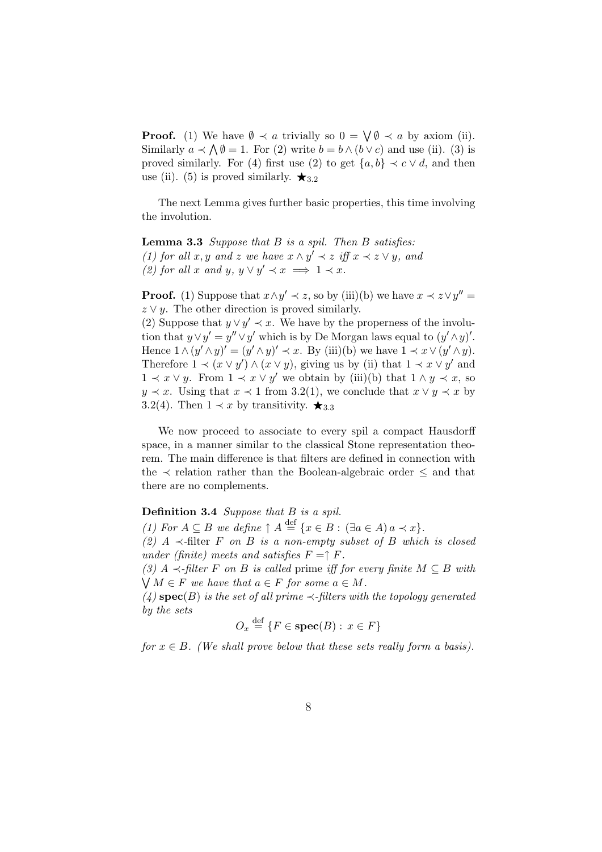**Proof.** (1) We have  $\emptyset \prec a$  trivially so  $0 = \bigvee \emptyset \prec a$  by axiom (ii). Similarly  $a \prec \bigwedge \emptyset = 1$ . For (2) write  $b = b \wedge (b \vee c)$  and use (ii). (3) is proved similarly. For (4) first use (2) to get  $\{a, b\} \prec c \vee d$ , and then use (ii). (5) is proved similarly.  $\star_{3.2}$ 

The next Lemma gives further basic properties, this time involving the involution.

**Lemma 3.3** Suppose that  $B$  is a spil. Then  $B$  satisfies: (1) for all x, y and z we have  $x \wedge y' \prec z$  iff  $x \prec z \vee y$ , and (2) for all x and y,  $y \lor y' \prec x \implies 1 \prec x$ .

**Proof.** (1) Suppose that  $x \wedge y' \prec z$ , so by (iii)(b) we have  $x \prec z \vee y'' =$  $z \vee y$ . The other direction is proved similarly.

(2) Suppose that  $y \lor y' \prec x$ . We have by the properness of the involution that  $y \vee y' = y'' \vee y'$  which is by De Morgan laws equal to  $(y' \wedge y)'$ . Hence  $1 \wedge (y' \wedge y)' = (y' \wedge y)' \prec x$ . By (iii)(b) we have  $1 \prec x \vee (y' \wedge y)$ . Therefore  $1 \prec (x \lor y') \land (x \lor y)$ , giving us by (ii) that  $1 \prec x \lor y'$  and  $1 \prec x \vee y$ . From  $1 \prec x \vee y'$  we obtain by (iii)(b) that  $1 \wedge y \prec x$ , so  $y \prec x$ . Using that  $x \prec 1$  from 3.2(1), we conclude that  $x \vee y \prec x$  by 3.2(4). Then  $1 \prec x$  by transitivity.  $\star_{3.3}$ 

We now proceed to associate to every spil a compact Hausdorff space, in a manner similar to the classical Stone representation theorem. The main difference is that filters are defined in connection with the  $\prec$  relation rather than the Boolean-algebraic order  $\leq$  and that there are no complements.

Definition 3.4 Suppose that B is a spil.

(1) For  $A \subseteq B$  we define  $\uparrow A \stackrel{\text{def}}{=} \{x \in B : (\exists a \in A) a \prec x\}.$ 

(2) A  $\prec$ -filter F on B is a non-empty subset of B which is closed under (finite) meets and satisfies  $F = \uparrow F$ .

(3) A  $\prec$ -filter F on B is called prime iff for every finite  $M \subseteq B$  with  $\bigvee M \in F$  we have that  $a \in F$  for some  $a \in M$ .

(4)  $\mathbf{spec}(B)$  is the set of all prime  $\prec$ -filters with the topology generated by the sets

$$
O_x \stackrel{\text{def}}{=} \{ F \in \text{spec}(B) : x \in F \}
$$

for  $x \in B$ . (We shall prove below that these sets really form a basis).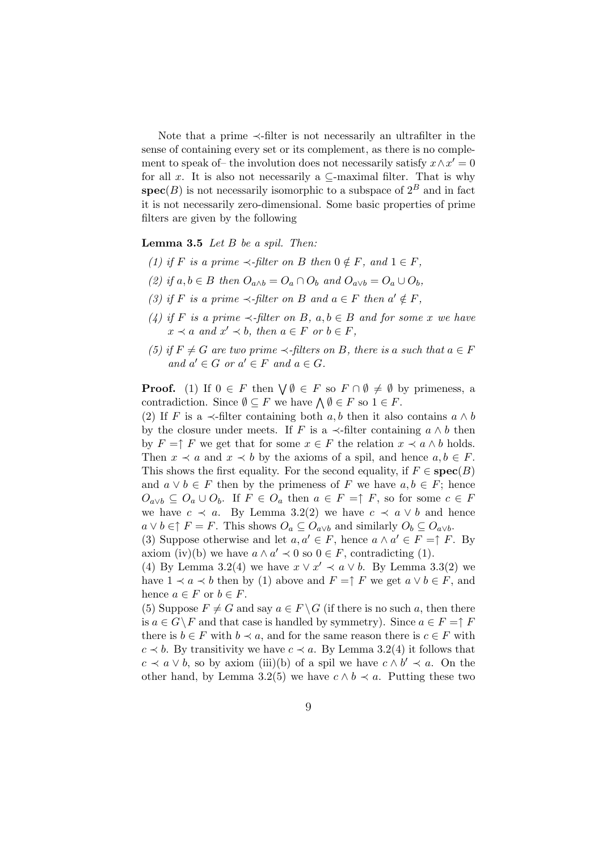Note that a prime ≺-filter is not necessarily an ultrafilter in the sense of containing every set or its complement, as there is no complement to speak of– the involution does not necessarily satisfy  $x \wedge x' = 0$ for all x. It is also not necessarily a  $\subseteq$ -maximal filter. That is why  $\operatorname{spec}(B)$  is not necessarily isomorphic to a subspace of  $2^B$  and in fact it is not necessarily zero-dimensional. Some basic properties of prime filters are given by the following

#### **Lemma 3.5** Let  $B$  be a spil. Then:

- (1) if F is a prime  $\prec$ -filter on B then  $0 \notin F$ , and  $1 \in F$ ,
- (2) if  $a, b \in B$  then  $O_{a \wedge b} = O_a \cap O_b$  and  $O_{a \vee b} = O_a \cup O_b$ ,
- (3) if F is a prime  $\prec$ -filter on B and  $a \in F$  then  $a' \notin F$ ,
- (4) if F is a prime  $\prec$ -filter on B, a, b  $\in$  B and for some x we have  $x \prec a$  and  $x' \prec b$ , then  $a \in F$  or  $b \in F$ ,
- (5) if  $F \neq G$  are two prime  $\prec$ -filters on B, there is a such that  $a \in F$ and  $a' \in G$  or  $a' \in F$  and  $a \in G$ .

**Proof.** (1) If  $0 \in F$  then  $\bigvee \emptyset \in F$  so  $F \cap \emptyset \neq \emptyset$  by primeness, a contradiction. Since  $\emptyset \subseteq F$  we have  $\bigwedge \emptyset \in F$  so  $1 \in F$ .

(2) If F is a  $\prec$ -filter containing both a, b then it also contains  $a \wedge b$ by the closure under meets. If F is a  $\prec$ -filter containing  $a \wedge b$  then by  $F = \uparrow F$  we get that for some  $x \in F$  the relation  $x \prec a \land b$  holds. Then  $x \prec a$  and  $x \prec b$  by the axioms of a spil, and hence  $a, b \in F$ . This shows the first equality. For the second equality, if  $F \in \text{spec}(B)$ and  $a \vee b \in F$  then by the primeness of F we have  $a, b \in F$ ; hence  $O_{a\vee b} \subseteq O_a \cup O_b$ . If  $F \in O_a$  then  $a \in F = \uparrow F$ , so for some  $c \in F$ we have  $c \prec a$ . By Lemma 3.2(2) we have  $c \prec a \lor b$  and hence  $a \vee b \in \uparrow F = F$ . This shows  $O_a \subseteq O_{a \vee b}$  and similarly  $O_b \subseteq O_{a \vee b}$ .

(3) Suppose otherwise and let  $a, a' \in F$ , hence  $a \wedge a' \in F = \uparrow F$ . By axiom (iv)(b) we have  $a \wedge a' \prec 0$  so  $0 \in F$ , contradicting (1).

(4) By Lemma 3.2(4) we have  $x \lor x' \prec a \lor b$ . By Lemma 3.3(2) we have  $1 \prec a \prec b$  then by (1) above and  $F = \uparrow F$  we get  $a \lor b \in F$ , and hence  $a \in F$  or  $b \in F$ .

(5) Suppose  $F \neq G$  and say  $a \in F \backslash G$  (if there is no such a, then there is  $a \in G \backslash F$  and that case is handled by symmetry). Since  $a \in F = \uparrow F$ there is  $b \in F$  with  $b \prec a$ , and for the same reason there is  $c \in F$  with  $c \prec b$ . By transitivity we have  $c \prec a$ . By Lemma 3.2(4) it follows that  $c \prec a \lor b$ , so by axiom (iii)(b) of a spil we have  $c \land b' \prec a$ . On the other hand, by Lemma 3.2(5) we have  $c \wedge b \prec a$ . Putting these two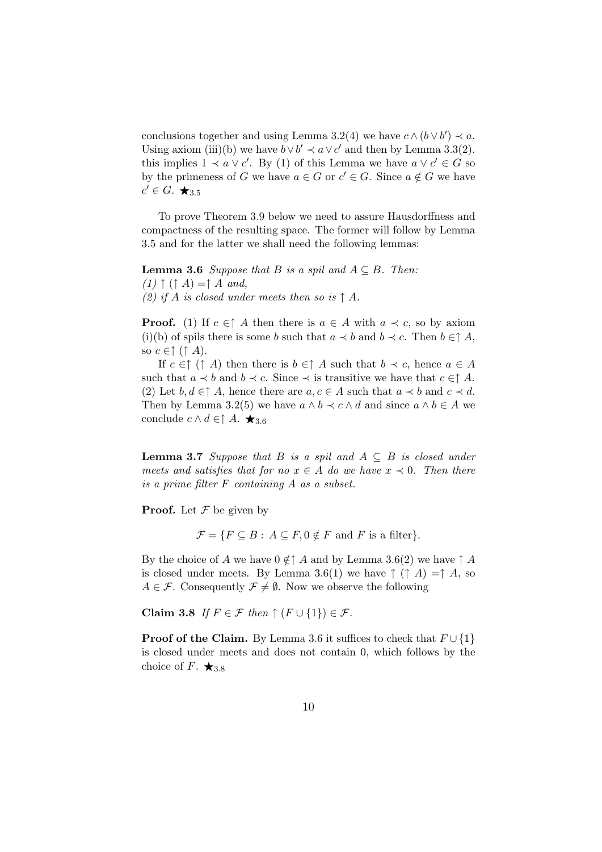conclusions together and using Lemma 3.2(4) we have  $c \wedge (b \vee b') \prec a$ . Using axiom (iii)(b) we have  $b \vee b' \prec a \vee c'$  and then by Lemma 3.3(2). this implies  $1 \prec a \lor c'$ . By (1) of this Lemma we have  $a \lor c' \in G$  so by the primeness of G we have  $a \in G$  or  $c' \in G$ . Since  $a \notin G$  we have  $c' \in G$ .  $\bigstar_{3.5}$ 

To prove Theorem 3.9 below we need to assure Hausdorffness and compactness of the resulting space. The former will follow by Lemma 3.5 and for the latter we shall need the following lemmas:

**Lemma 3.6** Suppose that B is a spil and  $A \subseteq B$ . Then:  $(1)$   $\uparrow$   $( \uparrow A) = \uparrow A$  and, (2) if A is closed under meets then so is  $\uparrow$  A.

**Proof.** (1) If  $c \in \uparrow A$  then there is  $a \in A$  with  $a \prec c$ , so by axiom (i)(b) of spils there is some b such that  $a \prec b$  and  $b \prec c$ . Then  $b \in \uparrow A$ , so  $c \in \uparrow (\uparrow A)$ .

If  $c \in \uparrow (\uparrow A)$  then there is  $b \in \uparrow A$  such that  $b \prec c$ , hence  $a \in A$ such that  $a \prec b$  and  $b \prec c$ . Since  $\prec$  is transitive we have that  $c \in \uparrow A$ . (2) Let  $b, d \in \uparrow A$ , hence there are  $a, c \in A$  such that  $a \prec b$  and  $c \prec d$ . Then by Lemma 3.2(5) we have  $a \wedge b \prec c \wedge d$  and since  $a \wedge b \in A$  we conclude  $c \wedge d \in \uparrow A$ .  $\star_{3.6}$ 

**Lemma 3.7** Suppose that B is a spil and  $A \subseteq B$  is closed under meets and satisfies that for no  $x \in A$  do we have  $x \prec 0$ . Then there is a prime filter F containing A as a subset.

**Proof.** Let  $\mathcal F$  be given by

 $\mathcal{F} = \{F \subseteq B : A \subseteq F, 0 \notin F \text{ and } F \text{ is a filter}\}.$ 

By the choice of A we have  $0 \notin \uparrow A$  and by Lemma 3.6(2) we have  $\uparrow A$ is closed under meets. By Lemma 3.6(1) we have  $\uparrow$  ( $\uparrow$  A) = $\uparrow$  A, so  $A \in \mathcal{F}$ . Consequently  $\mathcal{F} \neq \emptyset$ . Now we observe the following

Claim 3.8 If  $F \in \mathcal{F}$  then  $\uparrow (F \cup \{1\}) \in \mathcal{F}$ .

**Proof of the Claim.** By Lemma 3.6 it suffices to check that  $F \cup \{1\}$ is closed under meets and does not contain 0, which follows by the choice of F.  $\bigstar_{3.8}$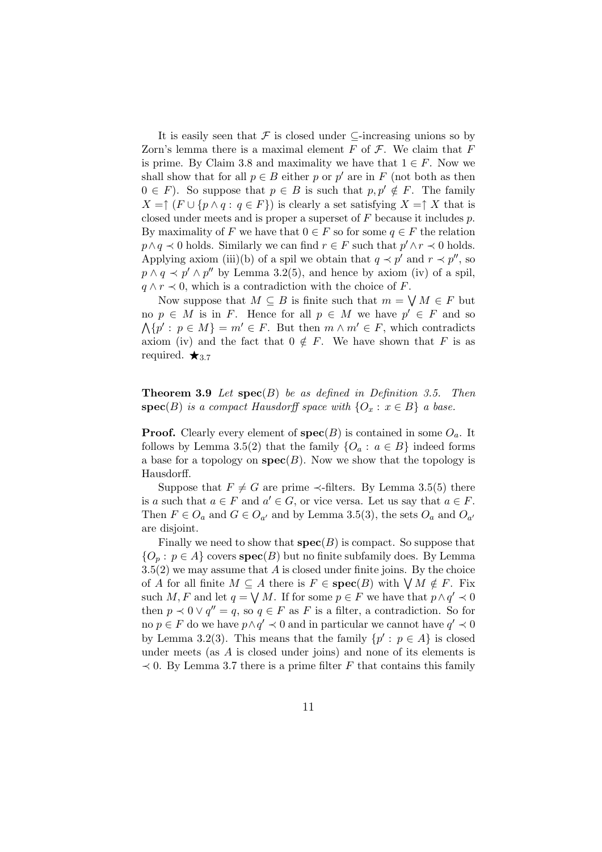It is easily seen that F is closed under  $\subseteq$ -increasing unions so by Zorn's lemma there is a maximal element  $F$  of  $\mathcal F$ . We claim that  $F$ is prime. By Claim 3.8 and maximality we have that  $1 \in F$ . Now we shall show that for all  $p \in B$  either p or p' are in F (not both as then  $0 \in F$ ). So suppose that  $p \in B$  is such that  $p, p' \notin F$ . The family  $X = \uparrow (F \cup \{p \land q : q \in F\})$  is clearly a set satisfying  $X = \uparrow X$  that is closed under meets and is proper a superset of F because it includes p. By maximality of F we have that  $0 \in F$  so for some  $q \in F$  the relation  $p \wedge q \prec 0$  holds. Similarly we can find  $r \in F$  such that  $p' \wedge r \prec 0$  holds. Applying axiom (iii)(b) of a spil we obtain that  $q \prec p'$  and  $r \prec p''$ , so  $p \wedge q \prec p' \wedge p''$  by Lemma 3.2(5), and hence by axiom (iv) of a spil,  $q \wedge r \prec 0$ , which is a contradiction with the choice of F.

Now suppose that  $M \subseteq B$  is finite such that  $m = \bigvee M \in F$  but no  $p \in M$  is in F. Hence for all  $p \in M$  we have  $p' \in F$  and so  $\Lambda\{p': p \in M\} = m' \in F$ . But then  $m \wedge m' \in F$ , which contradicts axiom (iv) and the fact that  $0 \notin F$ . We have shown that F is as required.  $\star$ <sub>3.7</sub>

**Theorem 3.9** Let  $\mathbf{spec}(B)$  be as defined in Definition 3.5. Then  $\textbf{spec}(B)$  is a compact Hausdorff space with  $\{O_x : x \in B\}$  a base.

**Proof.** Clearly every element of  $\operatorname{spec}(B)$  is contained in some  $O_a$ . It follows by Lemma 3.5(2) that the family  $\{O_a : a \in B\}$  indeed forms a base for a topology on  $spec(B)$ . Now we show that the topology is Hausdorff.

Suppose that  $F \neq G$  are prime  $\prec$ -filters. By Lemma 3.5(5) there is a such that  $a \in F$  and  $a' \in G$ , or vice versa. Let us say that  $a \in F$ . Then  $F \in O_a$  and  $G \in O_{a'}$  and by Lemma 3.5(3), the sets  $O_a$  and  $O_{a'}$ are disjoint.

Finally we need to show that  $spec(B)$  is compact. So suppose that  ${O_p : p \in A}$  covers  $spec(B)$  but no finite subfamily does. By Lemma  $3.5(2)$  we may assume that A is closed under finite joins. By the choice of A for all finite  $M \subseteq A$  there is  $F \in \text{spec}(B)$  with  $\bigvee M \notin F$ . Fix such M, F and let  $q = \bigvee M$ . If for some  $p \in F$  we have that  $p \wedge q' \prec 0$ then  $p \prec 0 \lor q'' = q$ , so  $q \in F$  as F is a filter, a contradiction. So for no  $p \in F$  do we have  $p \wedge q' \prec 0$  and in particular we cannot have  $q' \prec 0$ by Lemma 3.2(3). This means that the family  $\{p' : p \in A\}$  is closed under meets (as A is closed under joins) and none of its elements is  $\prec$  0. By Lemma 3.7 there is a prime filter F that contains this family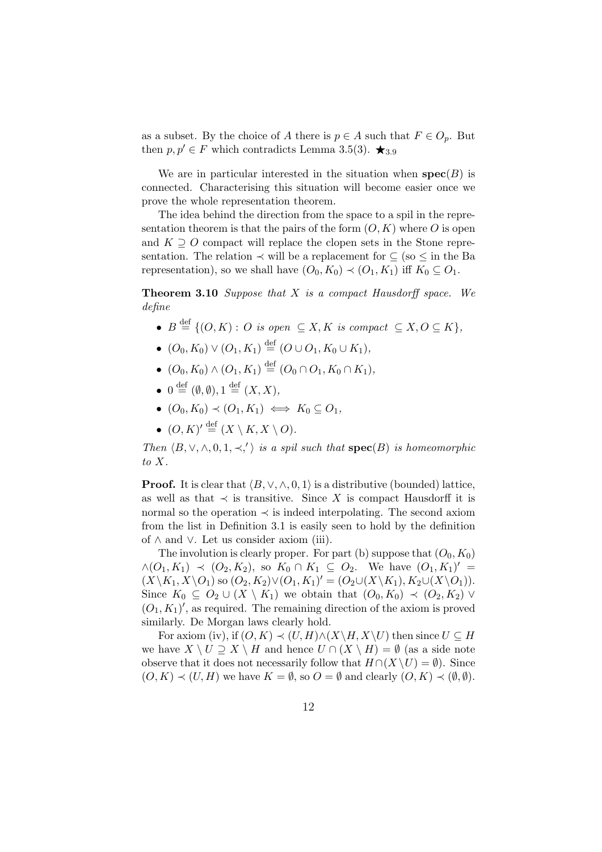as a subset. By the choice of A there is  $p \in A$  such that  $F \in O_p$ . But then  $p, p' \in F$  which contradicts Lemma 3.5(3).  $\bigstar_{3.9}$ 

We are in particular interested in the situation when  $spec(B)$  is connected. Characterising this situation will become easier once we prove the whole representation theorem.

The idea behind the direction from the space to a spil in the representation theorem is that the pairs of the form  $(O, K)$  where O is open and  $K \supseteq O$  compact will replace the clopen sets in the Stone representation. The relation  $\prec$  will be a replacement for  $\subseteq$  (so  $\leq$  in the Ba representation), so we shall have  $(O_0, K_0) \prec (O_1, K_1)$  iff  $K_0 \subseteq O_1$ .

**Theorem 3.10** Suppose that  $X$  is a compact Hausdorff space. We define

- $B \stackrel{\text{def}}{=} \{ (O, K) : O \text{ is open } \subseteq X, K \text{ is compact } \subseteq X, O \subseteq K \},\$
- $(O_0, K_0) \vee (O_1, K_1) \stackrel{\text{def}}{=} (O \cup O_1, K_0 \cup K_1),$
- $(O_0, K_0) \wedge (O_1, K_1) \stackrel{\text{def}}{=} (O_0 \cap O_1, K_0 \cap K_1),$
- $0 \stackrel{\text{def}}{=} (\emptyset, \emptyset), 1 \stackrel{\text{def}}{=} (X, X),$
- $(O_0, K_0) \prec (O_1, K_1) \iff K_0 \subseteq O_1$ ,
- $\bullet$   $(O, K)' \stackrel{\text{def}}{=} (X \setminus K, X \setminus O).$

Then  $\langle B, \vee, \wedge, 0, 1, \prec, ' \rangle$  is a spil such that  $\text{spec}(B)$  is homeomorphic to X.

**Proof.** It is clear that  $\langle B, \vee, \wedge, 0, 1 \rangle$  is a distributive (bounded) lattice, as well as that  $\prec$  is transitive. Since X is compact Hausdorff it is normal so the operation  $\prec$  is indeed interpolating. The second axiom from the list in Definition 3.1 is easily seen to hold by the definition of ∧ and ∨. Let us consider axiom (iii).

The involution is clearly proper. For part (b) suppose that  $(O_0, K_0)$  $\wedge$   $(O_1, K_1)$   $\prec$   $(O_2, K_2)$ , so  $K_0 \cap K_1 \subseteq O_2$ . We have  $(O_1, K_1)'$  =  $(X\backslash K_1, X\backslash O_1)$  so  $(O_2, K_2)\vee(O_1, K_1)' = (O_2\cup(X\backslash K_1), K_2\cup(X\backslash O_1)).$ Since  $K_0 \subseteq O_2 \cup (X \setminus K_1)$  we obtain that  $(O_0, K_0) \prec (O_2, K_2)$   $\vee$  $(O_1, K_1)'$ , as required. The remaining direction of the axiom is proved similarly. De Morgan laws clearly hold.

For axiom (iv), if  $(O, K) \prec (U, H) \land (X \backslash H, X \backslash U)$  then since  $U \subseteq H$ we have  $X \setminus U \supseteq X \setminus H$  and hence  $U \cap (X \setminus H) = \emptyset$  (as a side note observe that it does not necessarily follow that  $H \cap (X \setminus U) = \emptyset$ . Since  $(O, K) \prec (U, H)$  we have  $K = \emptyset$ , so  $O = \emptyset$  and clearly  $(O, K) \prec (\emptyset, \emptyset)$ .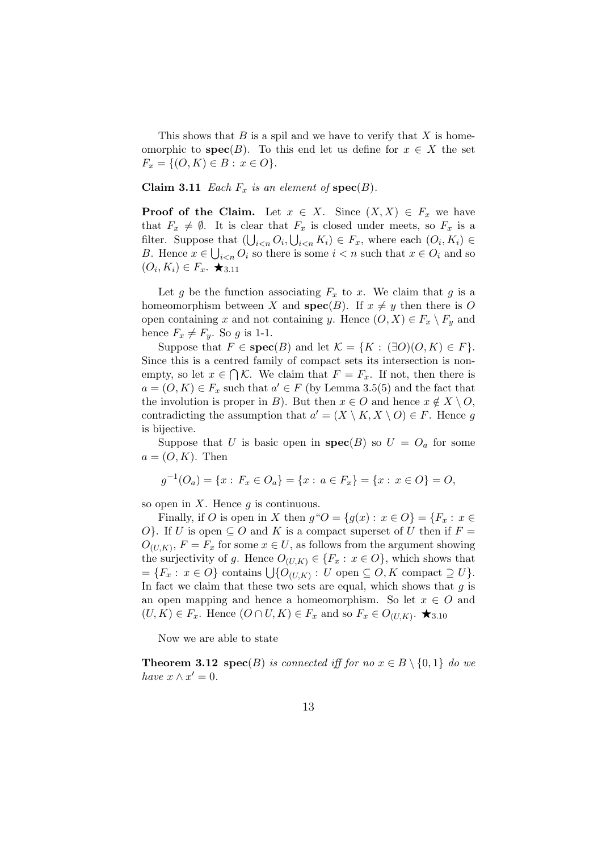This shows that  $B$  is a spil and we have to verify that  $X$  is homeomorphic to  $spec(B)$ . To this end let us define for  $x \in X$  the set  $F_x = \{ (O, K) \in B : x \in O \}.$ 

Claim 3.11 Each  $F_x$  is an element of  $spec(B)$ .

**Proof of the Claim.** Let  $x \in X$ . Since  $(X, X) \in F_x$  we have that  $F_x \neq \emptyset$ . It is clear that  $F_x$  is closed under meets, so  $F_x$  is a filter. Suppose that  $(\bigcup_{i \leq n} O_i, \bigcup_{i \leq n} K_i) \in F_x$ , where each  $(O_i, K_i) \in$ B. Hence  $x \in \bigcup_{i \leq n} O_i$  so there is some  $i < n$  such that  $x \in O_i$  and so  $(O_i, K_i) \in F_x$ .  $\bigstar_{3.11}$ 

Let g be the function associating  $F_x$  to x. We claim that g is a homeomorphism between X and  $spec(B)$ . If  $x \neq y$  then there is O open containing x and not containing y. Hence  $(O, X) \in F_x \setminus F_y$  and hence  $F_x \neq F_y$ . So g is 1-1.

Suppose that  $F \in \text{spec}(B)$  and let  $\mathcal{K} = \{K : (\exists O)(O, K) \in F\}.$ Since this is a centred family of compact sets its intersection is nonempty, so let  $x \in \bigcap \mathcal{K}$ . We claim that  $F = F_x$ . If not, then there is  $a = (O, K) \in F_x$  such that  $a' \in F$  (by Lemma 3.5(5) and the fact that the involution is proper in B). But then  $x \in O$  and hence  $x \notin X \setminus O$ , contradicting the assumption that  $a' = (X \setminus K, X \setminus O) \in F$ . Hence g is bijective.

Suppose that U is basic open in  $spec(B)$  so  $U = O<sub>a</sub>$  for some  $a = (O, K)$ . Then

$$
g^{-1}(O_a) = \{x : F_x \in O_a\} = \{x : a \in F_x\} = \{x : x \in O\} = O,
$$

so open in  $X$ . Hence  $g$  is continuous.

Finally, if O is open in X then  $g''O = \{g(x) : x \in O\} = \{F_x : x \in$ O}. If U is open  $\subseteq$  O and K is a compact superset of U then if F =  $O_{(U,K)}, F = F_x$  for some  $x \in U$ , as follows from the argument showing the surjectivity of g. Hence  $O_{(U,K)} \in \{F_x : x \in O\}$ , which shows that  $=\{F_x: x \in O\}$  contains  $\bigcup \{O_{(U,K)}: U \text{ open } \subseteq O, K \text{ compact } \supseteq U\}.$ In fact we claim that these two sets are equal, which shows that  $q$  is an open mapping and hence a homeomorphism. So let  $x \in O$  and  $(U, K) \in F_x$ . Hence  $(O \cap U, K) \in F_x$  and so  $F_x \in O_{(U,K)}$ .  $\bigstar$  3.10

Now we are able to state

**Theorem 3.12 spec**(B) is connected iff for no  $x \in B \setminus \{0, 1\}$  do we have  $x \wedge x' = 0$ .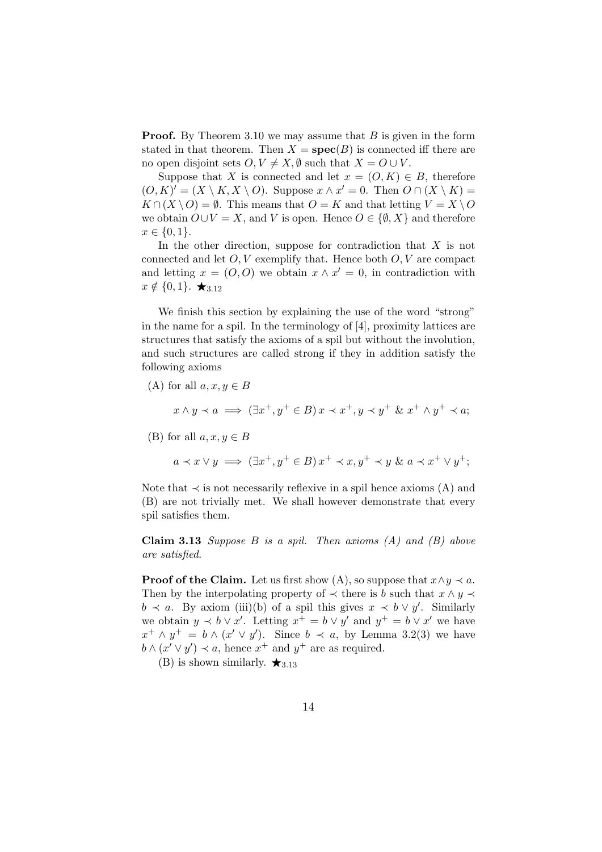**Proof.** By Theorem 3.10 we may assume that  $B$  is given in the form stated in that theorem. Then  $X = \text{spec}(B)$  is connected iff there are no open disjoint sets  $O, V \neq X, \emptyset$  such that  $X = O \cup V$ .

Suppose that X is connected and let  $x = (O, K) \in B$ , therefore  $(O, K)' = (X \setminus K, X \setminus O)$ . Suppose  $x \wedge x' = 0$ . Then  $O \cap (X \setminus K) =$  $K \cap (X \setminus O) = \emptyset$ . This means that  $O = K$  and that letting  $V = X \setminus O$ we obtain  $O \cup V = X$ , and V is open. Hence  $O \in \{ \emptyset, X \}$  and therefore  $x \in \{0, 1\}.$ 

In the other direction, suppose for contradiction that  $X$  is not connected and let  $O, V$  exemplify that. Hence both  $O, V$  are compact and letting  $x = (O, O)$  we obtain  $x \wedge x' = 0$ , in contradiction with  $x \notin \{0, 1\}$ .  $\bigstar_{3.12}$ 

We finish this section by explaining the use of the word "strong" in the name for a spil. In the terminology of [4], proximity lattices are structures that satisfy the axioms of a spil but without the involution, and such structures are called strong if they in addition satisfy the following axioms

(A) for all  $a, x, y \in B$  $x \wedge y \prec a \implies (\exists x^+, y^+ \in B) x \prec x^+, y \prec y^+ \& x^+ \wedge y^+ \prec a;$ (B) for all  $a, x, y \in B$ 

$$
a \prec x \lor y \implies (\exists x^+, y^+ \in B) x^+ \prec x, y^+ \prec y \& a \prec x^+ \lor y^+;
$$

Note that  $\prec$  is not necessarily reflexive in a spil hence axioms (A) and (B) are not trivially met. We shall however demonstrate that every spil satisfies them.

**Claim 3.13** Suppose  $B$  is a spil. Then axioms  $(A)$  and  $(B)$  above are satisfied.

**Proof of the Claim.** Let us first show (A), so suppose that  $x \land y \prec a$ . Then by the interpolating property of  $\prec$  there is b such that  $x \wedge y \prec$  $b \prec a$ . By axiom (iii)(b) of a spil this gives  $x \prec b \lor y'$ . Similarly we obtain  $y \prec b \vee x'$ . Letting  $x^+ = b \vee y'$  and  $y^+ = b \vee x'$  we have  $x^+ \wedge y^+ = b \wedge (x' \vee y')$ . Since  $b \prec a$ , by Lemma 3.2(3) we have  $b \wedge (x' \vee y') \prec a$ , hence  $x^+$  and  $y^+$  are as required.

(B) is shown similarly.  $\star_{3.13}$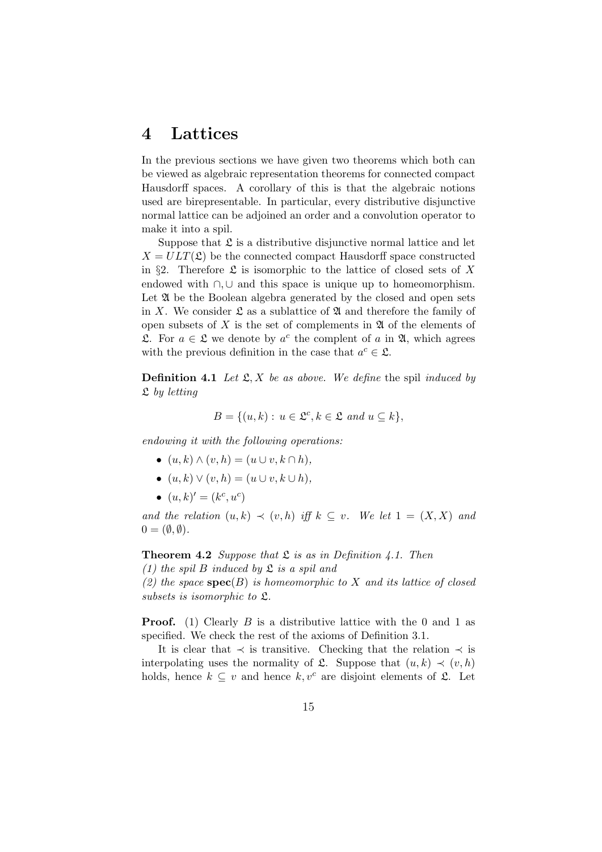# 4 Lattices

In the previous sections we have given two theorems which both can be viewed as algebraic representation theorems for connected compact Hausdorff spaces. A corollary of this is that the algebraic notions used are birepresentable. In particular, every distributive disjunctive normal lattice can be adjoined an order and a convolution operator to make it into a spil.

Suppose that  $\mathfrak L$  is a distributive disjunctive normal lattice and let  $X = ULT(\mathfrak{L})$  be the connected compact Hausdorff space constructed in §2. Therefore  $\mathfrak L$  is isomorphic to the lattice of closed sets of X endowed with ∩,∪ and this space is unique up to homeomorphism. Let  $\mathfrak A$  be the Boolean algebra generated by the closed and open sets in X. We consider  $\mathfrak L$  as a sublattice of  $\mathfrak A$  and therefore the family of open subsets of  $X$  is the set of complements in  $\mathfrak A$  of the elements of £. For  $a \in \mathcal{L}$  we denote by  $a^c$  the complent of a in  $\mathfrak{A}$ , which agrees with the previous definition in the case that  $a^c \in \mathfrak{L}$ .

**Definition 4.1** Let  $\mathfrak{L}, X$  be as above. We define the spil induced by  $\mathfrak L$  by letting

$$
B = \{(u, k) : u \in \mathfrak{L}^c, k \in \mathfrak{L} \text{ and } u \subseteq k\},\
$$

endowing it with the following operations:

- $(u, k) \wedge (v, h) = (u \cup v, k \cap h),$
- $(u, k) \vee (v, h) = (u \cup v, k \cup h),$
- $(u, k)' = (k^c, u^c)$

and the relation  $(u, k) \prec (v, h)$  iff  $k \subseteq v$ . We let  $1 = (X, X)$  and  $0 = (\emptyset, \emptyset).$ 

**Theorem 4.2** Suppose that  $\mathfrak{L}$  is as in Definition 4.1. Then

(1) the spil B induced by  $\mathfrak{L}$  is a spil and

(2) the space  $\operatorname{spec}(B)$  is homeomorphic to X and its lattice of closed subsets is isomorphic to L.

**Proof.** (1) Clearly B is a distributive lattice with the 0 and 1 as specified. We check the rest of the axioms of Definition 3.1.

It is clear that  $\prec$  is transitive. Checking that the relation  $\prec$  is interpolating uses the normality of  $\mathfrak{L}$ . Suppose that  $(u, k) \prec (v, h)$ holds, hence  $k \subseteq v$  and hence  $k, v^c$  are disjoint elements of  $\mathfrak{L}$ . Let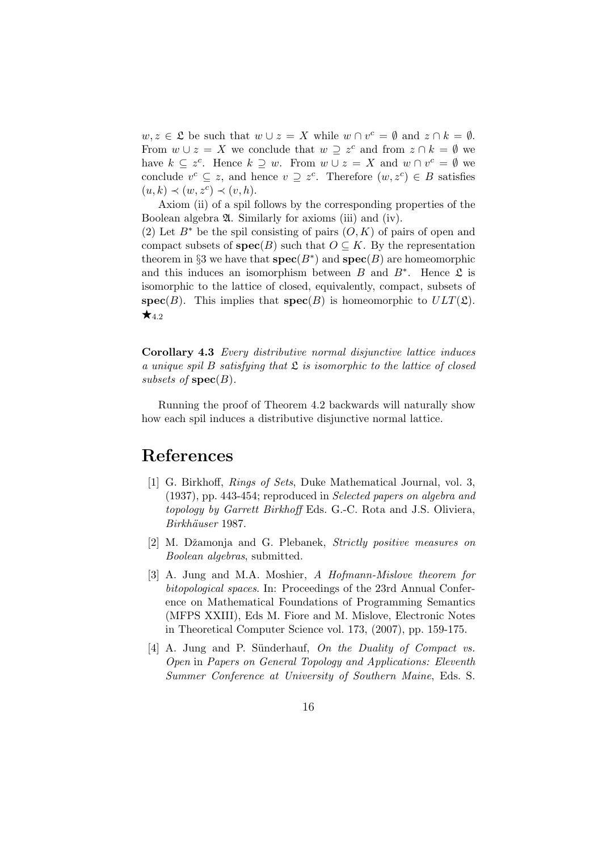$w, z \in \mathfrak{L}$  be such that  $w \cup z = X$  while  $w \cap v^c = \emptyset$  and  $z \cap k = \emptyset$ . From  $w \cup z = X$  we conclude that  $w \supseteq z^c$  and from  $z \cap k = \emptyset$  we have  $k \subseteq z^c$ . Hence  $k \supseteq w$ . From  $w \cup z = X$  and  $w \cap v^c = \emptyset$  we conclude  $v^c \subseteq z$ , and hence  $v \supseteq z^c$ . Therefore  $(w, z^c) \in B$  satisfies  $(u, k) \prec (w, z^c) \prec (v, h).$ 

Axiom (ii) of a spil follows by the corresponding properties of the Boolean algebra A. Similarly for axioms (iii) and (iv).

(2) Let  $B^*$  be the spil consisting of pairs  $(O, K)$  of pairs of open and compact subsets of  $spec(B)$  such that  $O \subseteq K$ . By the representation theorem in §3 we have that  $spec(B^*)$  and  $spec(B)$  are homeomorphic and this induces an isomorphism between  $B$  and  $B^*$ . Hence  $\mathfrak L$  is isomorphic to the lattice of closed, equivalently, compact, subsets of  $spec(B)$ . This implies that  $spec(B)$  is homeomorphic to  $ULT(\mathfrak{L})$ .  $\star$ <sub>4.2</sub>

Corollary 4.3 Every distributive normal disjunctive lattice induces a unique spil B satisfying that  $\mathfrak L$  is isomorphic to the lattice of closed subsets of  $spec(B)$ .

Running the proof of Theorem 4.2 backwards will naturally show how each spil induces a distributive disjunctive normal lattice.

### References

- [1] G. Birkhoff, Rings of Sets, Duke Mathematical Journal, vol. 3, (1937), pp. 443-454; reproduced in Selected papers on algebra and topology by Garrett Birkhoff Eds. G.-C. Rota and J.S. Oliviera, Birkhäuser 1987.
- [2] M. Džamonja and G. Plebanek, Strictly positive measures on Boolean algebras, submitted.
- [3] A. Jung and M.A. Moshier, A Hofmann-Mislove theorem for bitopological spaces. In: Proceedings of the 23rd Annual Conference on Mathematical Foundations of Programming Semantics (MFPS XXIII), Eds M. Fiore and M. Mislove, Electronic Notes in Theoretical Computer Science vol. 173, (2007), pp. 159-175.
- [4] A. Jung and P. Sünderhauf, On the Duality of Compact vs. Open in Papers on General Topology and Applications: Eleventh Summer Conference at University of Southern Maine, Eds. S.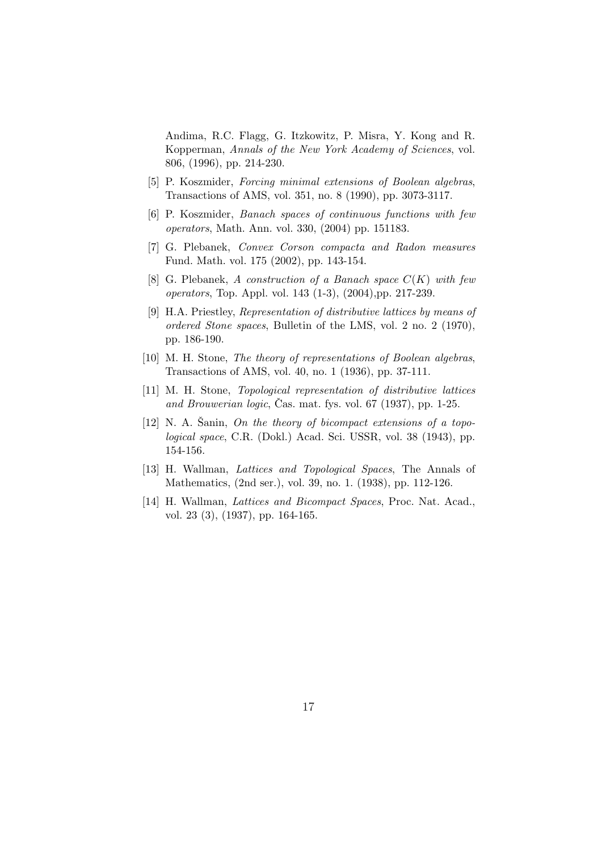Andima, R.C. Flagg, G. Itzkowitz, P. Misra, Y. Kong and R. Kopperman, Annals of the New York Academy of Sciences, vol. 806, (1996), pp. 214-230.

- [5] P. Koszmider, Forcing minimal extensions of Boolean algebras, Transactions of AMS, vol. 351, no. 8 (1990), pp. 3073-3117.
- [6] P. Koszmider, Banach spaces of continuous functions with few operators, Math. Ann. vol. 330, (2004) pp. 151183.
- [7] G. Plebanek, Convex Corson compacta and Radon measures Fund. Math. vol. 175 (2002), pp. 143-154.
- [8] G. Plebanek, A construction of a Banach space  $C(K)$  with few operators, Top. Appl. vol. 143 (1-3), (2004),pp. 217-239.
- [9] H.A. Priestley, Representation of distributive lattices by means of ordered Stone spaces, Bulletin of the LMS, vol. 2 no. 2 (1970), pp. 186-190.
- [10] M. H. Stone, The theory of representations of Boolean algebras, Transactions of AMS, vol. 40, no. 1 (1936), pp. 37-111.
- [11] M. H. Stone, Topological representation of distributive lattices and Brouwerian logic, Čas. mat. fys. vol. 67  $(1937)$ , pp. 1-25.
- [12] N. A. Sanin, On the theory of bicompact extensions of a topological space, C.R. (Dokl.) Acad. Sci. USSR, vol. 38 (1943), pp. 154-156.
- [13] H. Wallman, Lattices and Topological Spaces, The Annals of Mathematics, (2nd ser.), vol. 39, no. 1. (1938), pp. 112-126.
- [14] H. Wallman, Lattices and Bicompact Spaces, Proc. Nat. Acad., vol. 23 (3), (1937), pp. 164-165.